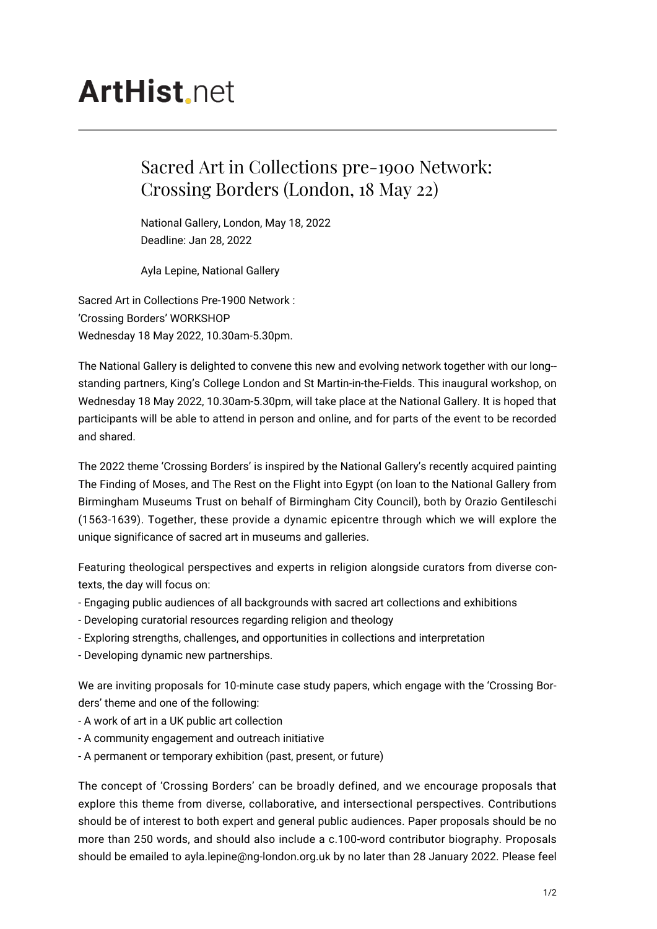## **ArtHist** net

## Sacred Art in Collections pre-1900 Network: Crossing Borders (London, 18 May 22)

National Gallery, London, May 18, 2022 Deadline: Jan 28, 2022

Ayla Lepine, National Gallery

Sacred Art in Collections Pre-1900 Network : 'Crossing Borders' WORKSHOP Wednesday 18 May 2022, 10.30am-5.30pm.

The National Gallery is delighted to convene this new and evolving network together with our long- standing partners, King's College London and St Martin-in-the-Fields. This inaugural workshop, on Wednesday 18 May 2022, 10.30am-5.30pm, will take place at the National Gallery. It is hoped that participants will be able to attend in person and online, and for parts of the event to be recorded and shared.

The 2022 theme 'Crossing Borders' is inspired by the National Gallery's recently acquired painting The Finding of Moses, and The Rest on the Flight into Egypt (on loan to the National Gallery from Birmingham Museums Trust on behalf of Birmingham City Council), both by Orazio Gentileschi (1563-1639). Together, these provide a dynamic epicentre through which we will explore the unique significance of sacred art in museums and galleries.

Featuring theological perspectives and experts in religion alongside curators from diverse contexts, the day will focus on:

- Engaging public audiences of all backgrounds with sacred art collections and exhibitions
- Developing curatorial resources regarding religion and theology
- Exploring strengths, challenges, and opportunities in collections and interpretation
- Developing dynamic new partnerships.

We are inviting proposals for 10-minute case study papers, which engage with the 'Crossing Borders' theme and one of the following:

- A work of art in a UK public art collection
- A community engagement and outreach initiative
- A permanent or temporary exhibition (past, present, or future)

The concept of 'Crossing Borders' can be broadly defined, and we encourage proposals that explore this theme from diverse, collaborative, and intersectional perspectives. Contributions should be of interest to both expert and general public audiences. Paper proposals should be no more than 250 words, and should also include a c.100-word contributor biography. Proposals should be emailed to ayla.lepine@ng-london.org.uk by no later than 28 January 2022. Please feel